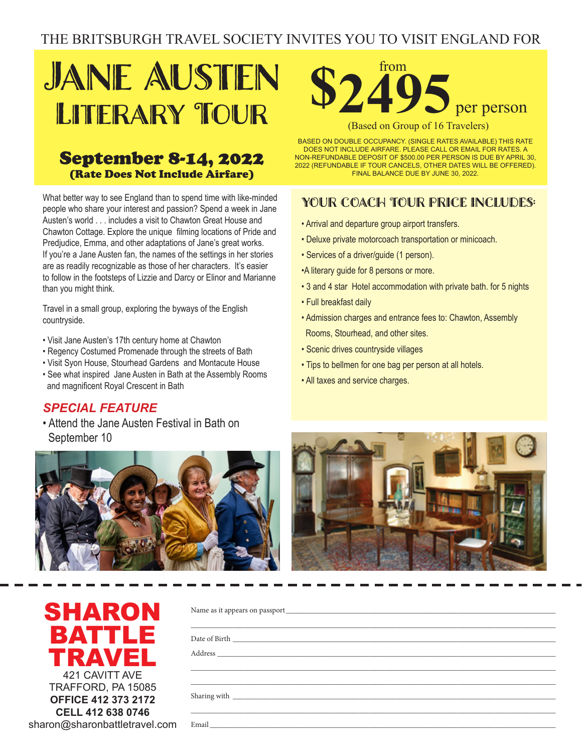# THE BRITSBURGH TRAVEL SOCIETY INVITES YOU TO VISIT ENGLAND FOR

## Jane Austen LITERARY TOUR

### September 8-14, 2022 **EXECUTE:** (Rate Does Not Include Airfare)

What better way to see England than to spend time with like-minded What better way to see England than to spend time with minded may be see angle in the epond and minded people who share your interest and passion? Spend a week in Jane Austen's world . . . includes a visit to Chawton Great House and Chawton Cottage. Explore the unique filming locations of Pride and Predjudice, Emma, and other adaptations of Jane's great works. If you're a Jane Austen fan, the names of the settings in her stories are as readily recognizable as those of her characters. It's easier to follow in the footsteps of Lizzie and Darcy or Elinor and Marianne than you might think. when you might will be

Travel in a small group, exploring the byways of the English countryside.

- Visit Jane Austen's 17th century home at Chawton
- Regency Costumed Promenade through the streets of Bath
- Visit Syon House, Stourhead Gardens and Montacute House
- Visit Sydn House, Stournead Sardens and Montacute House<br>• See what inspired Jane Austen in Bath at the Assembly Rooms and magnificent Royal Crescent in Bath • Visit to Harrogate and take part in a

#### SPECIAL FEATURE

• Attend the Jane Austen Festival in Bath on September 10





**Rates. A NON REFUNDABLE DEPOSIT OF \$500.00 PERSON IS DUE BY A NON REFUNDABLE PERSON IS DUE BY A NON REFUNDABLE PERSON IS DUE BY A NON REFUNDABLE PERSON IS DUE BY A NON REFUNDABLE PERSON IS DUE BY A NON REFUNDABLE PERSON I** 1, 2017 - FINAL BALANCE BY CHECK ONLY DUE BY AUG 7, 2017 - FINAL BY AUG 7, 2017 - FINAL BY AUG 7, 2017 - FINAL<br>DISCONDITION OF CHECK ONLY DUE BY AUGUST 2017 - FINAL BY AUGUST 2017 - FINAL BY AUGUST 2017 - FINAL BY AUGUST

BASED ON DOUBLE OCCUPANCY. (SINGLE RATES AVAILABLE) THIS RATE DOES NOT INCLUDE AIRFARE. PLEASE CALL OR EMAIL FOR RATES. A NON-REFUNDABLE DEPOSIT OF \$500.00 PER PERSON IS DUE BY APRIL 30, 2022 (REFUNDABLE IF TOUR CANCELS, OTHER DATES WILL BE OFFERED). FINAL BALANCE DUE BY JUNE 30, 2022.

#### YOUR COACH TOUR PRICE INCLUDES:

- Arrival and departure group airport transfers.
- Deluxe private motorcoach transportation or minicoach.
- Services of a driver/guide (1 person).
- •A literary guide for 8 persons or more.
- **3 and 4 star Hotel accommodation with private bath. for 5 nights**
- Full breakfast daily and departure of the control of
- Admission charges and entrance fees to: Chawton, Assembly Rooms, Stourhead, and other sites. (Manchester) group and transfer transfers. • Deluxe private motorcoach transportation. • Service, of a drivery and other external personal personal personal personal personal personal personal personal personal personal personal personal personal personal personal personal personal personal personal personal
- Scenic drives countryside villages enic drives countryside villages **compared for a person of the 8 persons**
- $\bullet$  Tips to bellmen for one bag per person at all hotels.
- All taxes and service charges.



| SHARON                        |
|-------------------------------|
| BATTLE                        |
| TRAVEL                        |
| 421 CAVITT AVE                |
| TRAFFORD, PA 15085            |
| <b>OFFICE 412 373 2172</b>    |
| CELL 412 638 0746             |
| sharon@sharonbattletravel.com |

| Sharing with each contract of the contract of the contract of the contract of the contract of the contract of the contract of the contract of the contract of the contract of the contract of the contract of the contract of |  |  |  |
|-------------------------------------------------------------------------------------------------------------------------------------------------------------------------------------------------------------------------------|--|--|--|